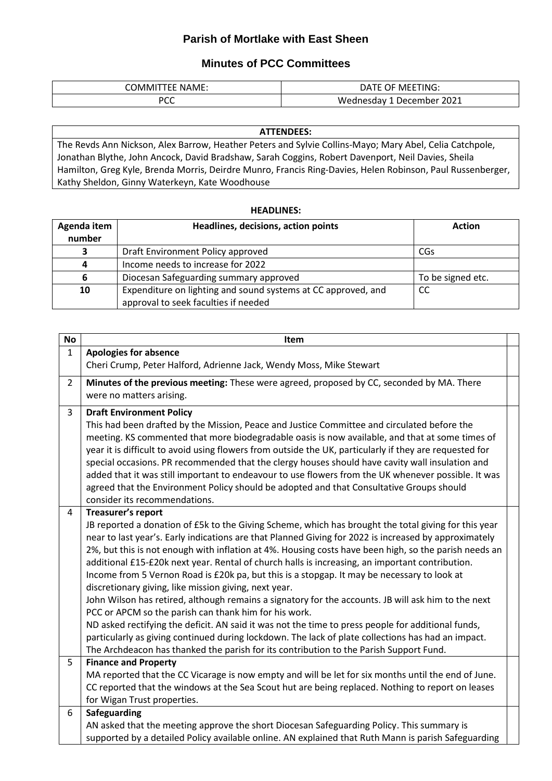## **Parish of Mortlake with East Sheen**

## **Minutes of PCC Committees**

| <b>TEE NAME:</b><br>. JMIV | MEETING:<br>DATE<br>- 1 ⊢ |
|----------------------------|---------------------------|
| nrr                        | 1 December 2021           |
| ิ                          | Wednesday 1               |

## **ATTENDEES:** The Revds Ann Nickson, Alex Barrow, Heather Peters and Sylvie Collins-Mayo; Mary Abel, Celia Catchpole, Jonathan Blythe, John Ancock, David Bradshaw, Sarah Coggins, Robert Davenport, Neil Davies, Sheila Hamilton, Greg Kyle, Brenda Morris, Deirdre Munro, Francis Ring-Davies, Helen Robinson, Paul Russenberger, Kathy Sheldon, Ginny Waterkeyn, Kate Woodhouse

## **HEADLINES:**

| Agenda item | Headlines, decisions, action points                           | <b>Action</b>     |
|-------------|---------------------------------------------------------------|-------------------|
| number      |                                                               |                   |
|             | Draft Environment Policy approved                             | CGs               |
|             | Income needs to increase for 2022                             |                   |
|             | Diocesan Safeguarding summary approved                        | To be signed etc. |
| 10          | Expenditure on lighting and sound systems at CC approved, and | CC                |
|             | approval to seek faculties if needed                          |                   |

| <b>No</b>      | Item                                                                                                                                                                                                                                                                                                                                                                                                                                                                                                                                                                                                                                                                                                                                                                                                                                                                                                                                                                                                                                                                          |  |
|----------------|-------------------------------------------------------------------------------------------------------------------------------------------------------------------------------------------------------------------------------------------------------------------------------------------------------------------------------------------------------------------------------------------------------------------------------------------------------------------------------------------------------------------------------------------------------------------------------------------------------------------------------------------------------------------------------------------------------------------------------------------------------------------------------------------------------------------------------------------------------------------------------------------------------------------------------------------------------------------------------------------------------------------------------------------------------------------------------|--|
| $\mathbf{1}$   | <b>Apologies for absence</b>                                                                                                                                                                                                                                                                                                                                                                                                                                                                                                                                                                                                                                                                                                                                                                                                                                                                                                                                                                                                                                                  |  |
|                | Cheri Crump, Peter Halford, Adrienne Jack, Wendy Moss, Mike Stewart                                                                                                                                                                                                                                                                                                                                                                                                                                                                                                                                                                                                                                                                                                                                                                                                                                                                                                                                                                                                           |  |
| $\overline{2}$ | Minutes of the previous meeting: These were agreed, proposed by CC, seconded by MA. There<br>were no matters arising.                                                                                                                                                                                                                                                                                                                                                                                                                                                                                                                                                                                                                                                                                                                                                                                                                                                                                                                                                         |  |
| 3              | <b>Draft Environment Policy</b><br>This had been drafted by the Mission, Peace and Justice Committee and circulated before the<br>meeting. KS commented that more biodegradable oasis is now available, and that at some times of<br>year it is difficult to avoid using flowers from outside the UK, particularly if they are requested for<br>special occasions. PR recommended that the clergy houses should have cavity wall insulation and<br>added that it was still important to endeavour to use flowers from the UK whenever possible. It was<br>agreed that the Environment Policy should be adopted and that Consultative Groups should<br>consider its recommendations.                                                                                                                                                                                                                                                                                                                                                                                           |  |
| 4              | Treasurer's report<br>JB reported a donation of £5k to the Giving Scheme, which has brought the total giving for this year<br>near to last year's. Early indications are that Planned Giving for 2022 is increased by approximately<br>2%, but this is not enough with inflation at 4%. Housing costs have been high, so the parish needs an<br>additional £15-£20k next year. Rental of church halls is increasing, an important contribution.<br>Income from 5 Vernon Road is £20k pa, but this is a stopgap. It may be necessary to look at<br>discretionary giving, like mission giving, next year.<br>John Wilson has retired, although remains a signatory for the accounts. JB will ask him to the next<br>PCC or APCM so the parish can thank him for his work.<br>ND asked rectifying the deficit. AN said it was not the time to press people for additional funds,<br>particularly as giving continued during lockdown. The lack of plate collections has had an impact.<br>The Archdeacon has thanked the parish for its contribution to the Parish Support Fund. |  |
| 5              | <b>Finance and Property</b><br>MA reported that the CC Vicarage is now empty and will be let for six months until the end of June.<br>CC reported that the windows at the Sea Scout hut are being replaced. Nothing to report on leases<br>for Wigan Trust properties.                                                                                                                                                                                                                                                                                                                                                                                                                                                                                                                                                                                                                                                                                                                                                                                                        |  |
| 6              | Safeguarding<br>AN asked that the meeting approve the short Diocesan Safeguarding Policy. This summary is<br>supported by a detailed Policy available online. AN explained that Ruth Mann is parish Safeguarding                                                                                                                                                                                                                                                                                                                                                                                                                                                                                                                                                                                                                                                                                                                                                                                                                                                              |  |